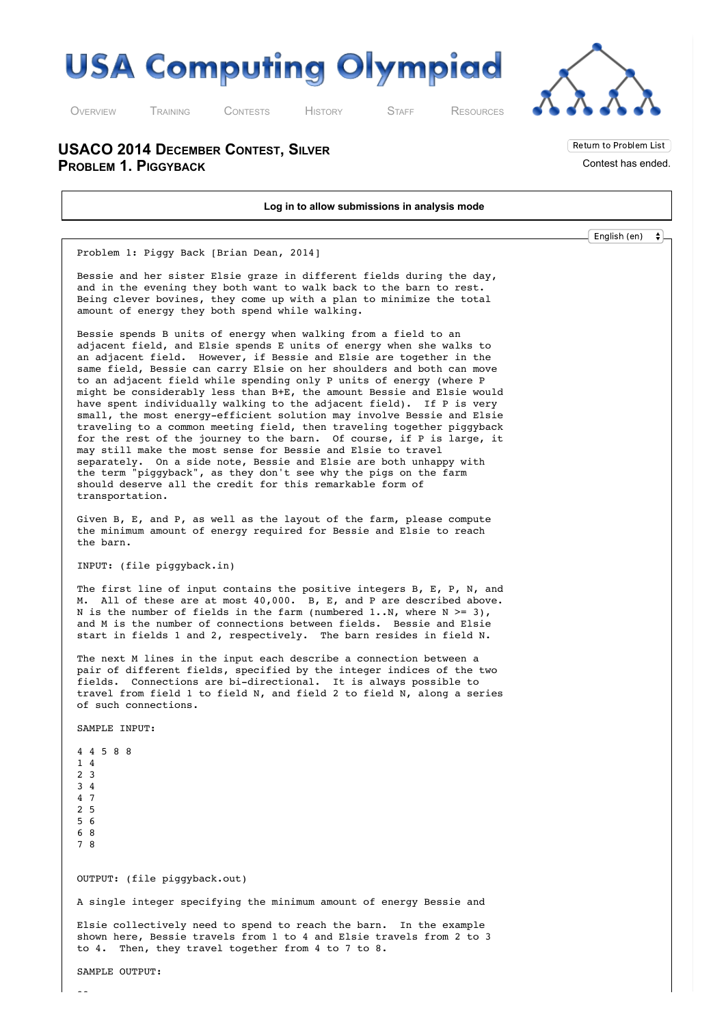

O[VERVIEW](http://usaco.org/index.php) T[RAINING](http://usaco.org/index.php?page=training) C[ONTESTS](http://usaco.org/index.php?page=contests) H[ISTORY](http://usaco.org/index.php?page=history) S[TAFF](http://usaco.org/index.php?page=staff) R[ESOURCES](http://usaco.org/index.php)

**USACO 2014 DECEMBER CONTEST, SILVER PROBLEM 1. PIGGYBACK**

**Log in to allow submissions in analysis mode** English (en) $\bullet$ Problem 1: Piggy Back [Brian Dean, 2014] Bessie and her sister Elsie graze in different fields during the day, and in the evening they both want to walk back to the barn to rest. Being clever bovines, they come up with a plan to minimize the total amount of energy they both spend while walking. Bessie spends B units of energy when walking from a field to an adjacent field, and Elsie spends E units of energy when she walks to an adjacent field. However, if Bessie and Elsie are together in the same field, Bessie can carry Elsie on her shoulders and both can move to an adjacent field while spending only P units of energy (where P might be considerably less than B+E, the amount Bessie and Elsie would have spent individually walking to the adjacent field). If P is very small, the most energy-efficient solution may involve Bessie and Elsie traveling to a common meeting field, then traveling together piggyback for the rest of the journey to the barn. Of course, if P is large, it may still make the most sense for Bessie and Elsie to travel separately. On a side note, Bessie and Elsie are both unhappy with the term "piggyback", as they don't see why the pigs on the farm should deserve all the credit for this remarkable form of transportation. Given B, E, and P, as well as the layout of the farm, please compute the minimum amount of energy required for Bessie and Elsie to reach the barn. INPUT: (file piggyback.in) The first line of input contains the positive integers B, E, P, N, and M. All of these are at most 40,000. B, E, and P are described above. N is the number of fields in the farm (numbered  $1..N$ , where  $N \ge 3$ ), and M is the number of connections between fields. Bessie and Elsie start in fields 1 and 2, respectively. The barn resides in field N. The next M lines in the input each describe a connection between a pair of different fields, specified by the integer indices of the two fields. Connections are bi-directional. It is always possible to travel from field 1 to field N, and field 2 to field N, along a series of such connections. SAMPLE INPUT: 4 4 5 8 8 1 4 2 3 3 4 4 7 2 5 5 6 6 8 7 8 OUTPUT: (file piggyback.out) A single integer specifying the minimum amount of energy Bessie and Elsie collectively need to spend to reach the barn. In the example shown here, Bessie travels from 1 to 4 and Elsie travels from 2 to 3 to 4. Then, they travel together from 4 to 7 to 8. SAMPLE OUTPUT:

Return to Problem List Contest has ended.